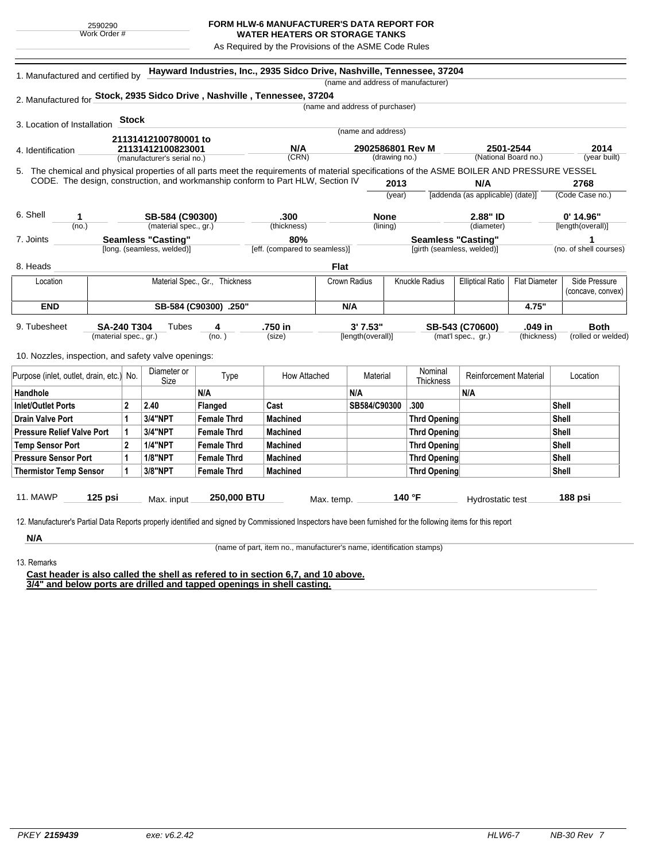## **FORM HLW-6 MANUFACTURER'S DATA REPORT FOR**

**WATER HEATERS OR STORAGE TANKS** As Required by the Provisions of the ASME Code Rules

| 1. Manufactured and certified by                                                                                                             |                                                  |              |                            | Hayward Industries, Inc., 2935 Sidco Drive, Nashville, Tennessee, 37204 |                               |                                   |                   |                                           |                                         |                                   |                         |                                    |                    |
|----------------------------------------------------------------------------------------------------------------------------------------------|--------------------------------------------------|--------------|----------------------------|-------------------------------------------------------------------------|-------------------------------|-----------------------------------|-------------------|-------------------------------------------|-----------------------------------------|-----------------------------------|-------------------------|------------------------------------|--------------------|
|                                                                                                                                              |                                                  |              |                            |                                                                         |                               |                                   |                   |                                           | (name and address of manufacturer)      |                                   |                         |                                    |                    |
| 2. Manufactured for Stock, 2935 Sidco Drive, Nashville, Tennessee, 37204                                                                     |                                                  |              |                            |                                                                         |                               | (name and address of purchaser)   |                   |                                           |                                         |                                   |                         |                                    |                    |
|                                                                                                                                              |                                                  |              |                            |                                                                         |                               |                                   |                   |                                           |                                         |                                   |                         |                                    |                    |
| 3. Location of Installation                                                                                                                  |                                                  | <b>Stock</b> |                            |                                                                         |                               |                                   |                   |                                           |                                         |                                   |                         |                                    |                    |
| 21131412100780001 to                                                                                                                         |                                                  |              |                            | (name and address)                                                      |                               |                                   |                   |                                           |                                         |                                   |                         |                                    |                    |
| 4. Identification                                                                                                                            | 21131412100823001<br>(manufacturer's serial no.) |              |                            | N/A<br>(CRN)                                                            |                               | 2902586801 Rev M<br>(drawing no.) |                   | 2501-2544<br>(National Board no.)         |                                         | 2014<br>(year built)              |                         |                                    |                    |
|                                                                                                                                              |                                                  |              |                            |                                                                         |                               |                                   |                   |                                           |                                         |                                   |                         |                                    |                    |
| 5. The chemical and physical properties of all parts meet the requirements of material specifications of the ASME BOILER AND PRESSURE VESSEL |                                                  |              |                            |                                                                         |                               |                                   |                   | 2013                                      |                                         |                                   |                         |                                    |                    |
| CODE. The design, construction, and workmanship conform to Part HLW, Section IV                                                              |                                                  |              |                            |                                                                         |                               |                                   |                   |                                           | N/A<br>[addenda (as applicable) (date)] |                                   | 2768<br>(Code Case no.) |                                    |                    |
|                                                                                                                                              |                                                  |              |                            |                                                                         |                               |                                   |                   | (year)                                    |                                         |                                   |                         |                                    |                    |
| 6. Shell<br>1                                                                                                                                |                                                  |              | SB-584 (C90300)            |                                                                         | .300                          |                                   |                   | <b>None</b>                               |                                         | 2.88" ID                          |                         | $0'$ 14.96"                        |                    |
| (no.)                                                                                                                                        |                                                  |              | (material spec., gr.)      |                                                                         | (thickness)                   |                                   | (lining)          |                                           | (diameter)                              |                                   |                         | [length(overall)]                  |                    |
| 7. Joints                                                                                                                                    | <b>Seamless "Casting"</b><br>80%                 |              |                            |                                                                         | <b>Seamless "Casting"</b>     |                                   |                   |                                           | 1                                       |                                   |                         |                                    |                    |
|                                                                                                                                              |                                                  |              | [long. (seamless, welded)] |                                                                         | [eff. (compared to seamless)] |                                   |                   |                                           | [girth (seamless, welded)]              |                                   |                         | (no. of shell courses)             |                    |
| 8. Heads                                                                                                                                     |                                                  |              |                            |                                                                         |                               | <b>Flat</b>                       |                   |                                           |                                         |                                   |                         |                                    |                    |
| Location                                                                                                                                     | Material Spec., Gr., Thickness                   |              |                            |                                                                         | Crown Radius                  |                                   |                   | Knuckle Radius<br><b>Elliptical Ratio</b> |                                         | <b>Flat Diameter</b>              |                         | Side Pressure<br>(concave, convex) |                    |
|                                                                                                                                              |                                                  |              |                            |                                                                         |                               |                                   |                   |                                           |                                         |                                   |                         |                                    |                    |
| <b>END</b>                                                                                                                                   | SB-584 (C90300) .250"                            |              |                            |                                                                         |                               | N/A                               |                   |                                           |                                         | 4.75"                             |                         |                                    |                    |
| 9. Tubesheet                                                                                                                                 | SA-240 T304<br>Tubes<br>4                        |              |                            | .750 in                                                                 | 3' 7.53"                      |                                   |                   |                                           | SB-543 (C70600)<br>.049 in              |                                   |                         | <b>Both</b>                        |                    |
|                                                                                                                                              | (material spec., gr.)                            |              |                            | (no.)                                                                   | (size)                        |                                   | [length(overall)] |                                           |                                         | (mat'l spec., gr.)<br>(thickness) |                         |                                    | (rolled or welded) |
| 10. Nozzles, inspection, and safety valve openings:                                                                                          |                                                  |              |                            |                                                                         |                               |                                   |                   |                                           |                                         |                                   |                         |                                    |                    |
| Purpose (inlet, outlet, drain, etc.) No.                                                                                                     |                                                  |              | Diameter or                | Type                                                                    | How Attached                  |                                   | Material          |                                           | Nominal                                 | <b>Reinforcement Material</b>     |                         | Location                           |                    |
|                                                                                                                                              |                                                  |              | Size                       |                                                                         |                               |                                   |                   |                                           | Thickness                               |                                   |                         |                                    |                    |
| Handhole                                                                                                                                     |                                                  |              |                            | N/A                                                                     |                               |                                   | N/A               |                                           |                                         | N/A                               |                         |                                    |                    |
| Inlet/Outlet Ports                                                                                                                           |                                                  | $\mathbf{2}$ | 2.40                       | Flanged                                                                 | Cast                          |                                   | SB584/C90300      |                                           | .300                                    |                                   |                         | <b>Shell</b>                       |                    |
| <b>Drain Valve Port</b>                                                                                                                      |                                                  | 1            | <b>3/4"NPT</b>             | <b>Female Thrd</b>                                                      | <b>Machined</b>               |                                   |                   |                                           | <b>Thrd Opening</b>                     |                                   |                         | Shell                              |                    |
| <b>Pressure Relief Valve Port</b>                                                                                                            |                                                  | 1            | <b>3/4"NPT</b>             | <b>Female Thrd</b>                                                      | <b>Machined</b>               |                                   |                   |                                           | <b>Thrd Opening</b>                     |                                   |                         | <b>Shell</b>                       |                    |
| <b>Temp Sensor Port</b>                                                                                                                      |                                                  | 2            | <b>1/4"NPT</b>             | <b>Female Thrd</b>                                                      | <b>Machined</b>               |                                   |                   |                                           | <b>Thrd Opening</b>                     |                                   |                         | Shell                              |                    |
| <b>Pressure Sensor Port</b>                                                                                                                  |                                                  | 1            | <b>1/8"NPT</b>             | <b>Female Thrd</b>                                                      | <b>Machined</b>               |                                   |                   |                                           | <b>Thrd Opening</b>                     |                                   |                         | <b>Shell</b>                       |                    |
| <b>Thermistor Temp Sensor</b>                                                                                                                |                                                  | 1            | 3/8"NPT                    | <b>Female Thrd</b>                                                      | <b>Machined</b>               |                                   |                   |                                           | <b>Thrd Opening</b>                     |                                   |                         | <b>Shell</b>                       |                    |
| <b>11. MAWP</b>                                                                                                                              | 125 psi                                          |              |                            | 250,000 BTU                                                             |                               |                                   |                   |                                           | 140 °F                                  |                                   |                         | 188 psi                            |                    |
|                                                                                                                                              |                                                  |              | Max. input                 |                                                                         |                               | Max. temp.                        |                   |                                           |                                         | Hydrostatic test                  |                         |                                    |                    |

13. Remarks

**N/A**

(name of part, item no., manufacturer's name, identification stamps)

**Cast header is also called the shell as refered to in section 6,7, and 10 above. 3/4" and below ports are drilled and tapped openings in shell casting.**